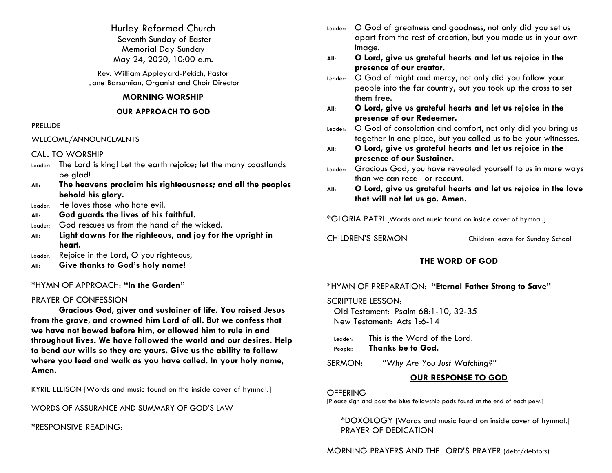Hurley Reformed Church Seventh Sunday of Easter Memorial Day Sunday May 24, 2020, 10:00 a.m.

Rev. William Appleyard-Pekich, Pastor Jane Barsumian, Organist and Choir Director

#### **MORNING WORSHIP**

#### **OUR APPROACH TO GOD**

#### PRELUDE

WELCOME/ANNOUNCEMENTS

### CALL TO WORSHIP

- Leader: The Lord is king! Let the earth rejoice; let the many coastlands be glad!
- **All: The heavens proclaim his righteousness; and all the peoples behold his glory.**
- Leader: He loves those who hate evil.
- **All: God guards the lives of his faithful.**
- Leader: God rescues us from the hand of the wicked.
- **All: Light dawns for the righteous, and joy for the upright in heart.**
- Leader: Rejoice in the Lord, O you righteous,
- **All: Give thanks to God's holy name!**

## \*HYMN OF APPROACH: **"In the Garden"**

## PRAYER OF CONFESSION

**Gracious God, giver and sustainer of life. You raised Jesus from the grave, and crowned him Lord of all. But we confess that we have not bowed before him, or allowed him to rule in and throughout lives. We have followed the world and our desires. Help to bend our wills so they are yours. Give us the ability to follow where you lead and walk as you have called. In your holy name, Amen.**

KYRIE ELEISON [Words and music found on the inside cover of hymnal.]

WORDS OF ASSURANCE AND SUMMARY OF GOD'S LAW

\*RESPONSIVE READING:

- Leader: O God of greatness and goodness, not only did you set us apart from the rest of creation, but you made us in your own image.
- **All: O Lord, give us grateful hearts and let us rejoice in the presence of our creator.**
- Leader: O God of might and mercy, not only did you follow your people into the far country, but you took up the cross to set them free.
- **All: O Lord, give us grateful hearts and let us rejoice in the presence of our Redeemer.**
- Leader: O God of consolation and comfort, not only did you bring us together in one place, but you called us to be your witnesses.
- **All: O Lord, give us grateful hearts and let us rejoice in the presence of our Sustainer.**
- Leader: Gracious God, you have revealed yourself to us in more ways than we can recall or recount.
- **All: O Lord, give us grateful hearts and let us rejoice in the love that will not let us go. Amen.**

\*GLORIA PATRI [Words and music found on inside cover of hymnal.]

CHILDREN'S SERMON Children leave for Sunday School

# **THE WORD OF GOD**

## \*HYMN OF PREPARATION: **"Eternal Father Strong to Save"**

SCRIPTURE LESSON: Old Testament: Psalm 68:1-10, 32-35 New Testament: Acts 1:6-14

Leader: This is the Word of the Lord.

**People: Thanks be to God.**

SERMON: *"Why Are You Just Watching?"*

# **OUR RESPONSE TO GOD**

### **OFFERING**

[Please sign and pass the blue fellowship pads found at the end of each pew.]

\*DOXOLOGY [Words and music found on inside cover of hymnal.] PRAYER OF DEDICATION

MORNING PRAYERS AND THE LORD'S PRAYER (debt/debtors)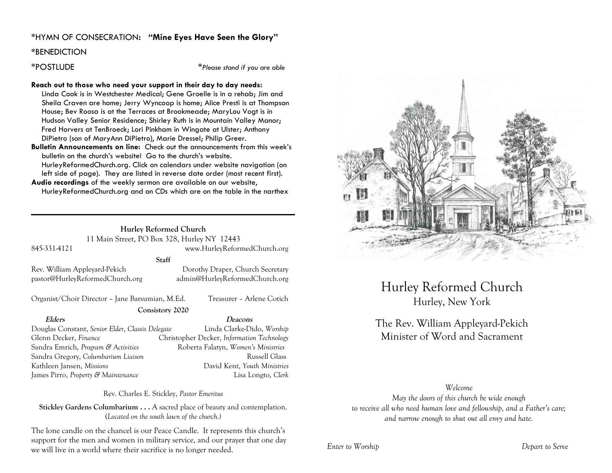### \*HYMN OF CONSECRATION**: "Mine Eyes Have Seen the Glory"**

#### **\***BENEDICTION

\*POSTLUDE \**Please stand if you are able*

#### **Reach out to those who need your support in their day to day needs:**

Linda Cook is in Westchester Medical; Gene Groelle is in a rehab; Jim and Sheila Craven are home; Jerry Wyncoop is home; Alice Presti is at Thompson House; Bev Roosa is at the Terraces at Brookmeade; MaryLou Vogt is in Hudson Valley Senior Residence; Shirley Ruth is in Mountain Valley Manor; Fred Horvers at TenBroeck; Lori Pinkham in Wingate at Ulster; Anthony DiPietro (son of MaryAnn DiPietro), Marie Dressel; Philip Greer.

**Bulletin Announcements on line:** Check out the announcements from this week's bulletin on the church's website! Go to the church's website. HurleyReformedChurch.org. Click on calendars under website navigation (on left side of page). They are listed in reverse date order (most recent first).

**Audio recordings** of the weekly sermon are available on our website, HurleyReformedChurch.org and on CDs which are on the table in the narthex

**Staff**

#### **Hurley Reformed Church** 11 Main Street, PO Box 328, Hurley NY 12443 845-331-4121 www.HurleyReformedChurch.org

pastor@HurleyReformedChurch.org admin@HurleyReformedChurch.org

Rev. William Appleyard-Pekich Dorothy Draper, Church Secretary

Organist/Choir Director – Jane Barsumian, M.Ed. Treasurer – Arlene Cotich

#### **Consistory 2020**

Douglas Constant, *Senior Elder*, *Classis Delegate* Linda Clarke-Dido, *Worship* Glenn Decker, *Finance* Christopher Decker, *Information Technology* Sandra Emrich, *Program & Activities* Roberta Falatyn, *Women's Ministries* Sandra Gregory, *Columbarium Liaison* Russell Glass Kathleen Jansen, *Missions* David Kent, *Youth Ministries* James Pirro, *Property & Maintenance* Lisa Longto, *Clerk*

**Elders Deacons**

Rev. Charles E. Stickley, *Pastor Emeritus*

**Stickley Gardens Columbarium . . .** A sacred place of beauty and contemplation. (*Located on the south lawn of the church.)* 

The lone candle on the chancel is our Peace Candle. It represents this church's support for the men and women in military service, and our prayer that one day we will live in a world where their sacrifice is no longer needed.



# Hurley Reformed Church Hurley, New York

# The Rev. William Appleyard-Pekich Minister of Word and Sacrament

#### *Welcome*

*May the doors of this church be wide enough to receive all who need human love and fellowship, and a Father's care; and narrow enough to shut out all envy and hate.*

*Enter to Worship Depart to Serve*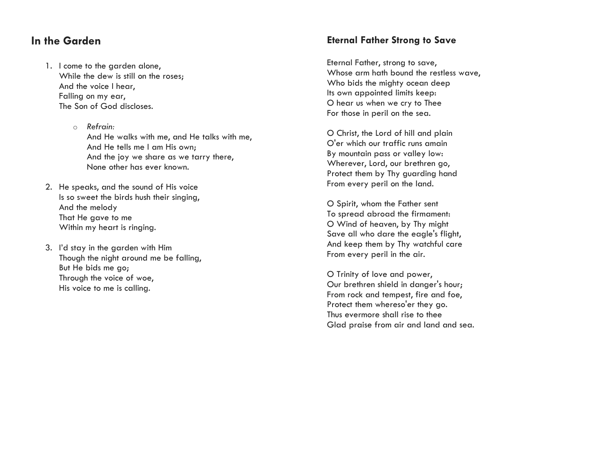# **In the Garden**

- 1. I come to the garden alone, While the dew is still on the roses; And the voice I hear, Falling on my ear, The Son of God discloses.
	- o *Refrain:* And He walks with me, and He talks with me, And He tells me I am His own; And the joy we share as we tarry there, None other has ever known.
- 2. He speaks, and the sound of His voice Is so sweet the birds hush their singing, And the melody That He gave to me Within my heart is ringing.
- 3. I'd stay in the garden with Him Though the night around me be falling, But He bids me go; Through the voice of woe, His voice to me is calling.

# **Eternal Father Strong to Save**

Eternal Father, strong to save, Whose arm hath bound the restless wave, Who bids the mighty ocean deep Its own appointed limits keep: O hear us when we cry to Thee For those in peril on the sea.

O Christ, the Lord of hill and plain O'er which our traffic runs amain By mountain pass or valley low: Wherever, Lord, our brethren go, Protect them by Thy guarding hand From every peril on the land.

O Spirit, whom the Father sent To spread abroad the firmament: O Wind of heaven, by Thy might Save all who dare the eagle's flight, And keep them by Thy watchful care From every peril in the air.

O Trinity of love and power, Our brethren shield in danger's hour; From rock and tempest, fire and foe, Protect them whereso'er they go. Thus evermore shall rise to thee Glad praise from air and land and sea.